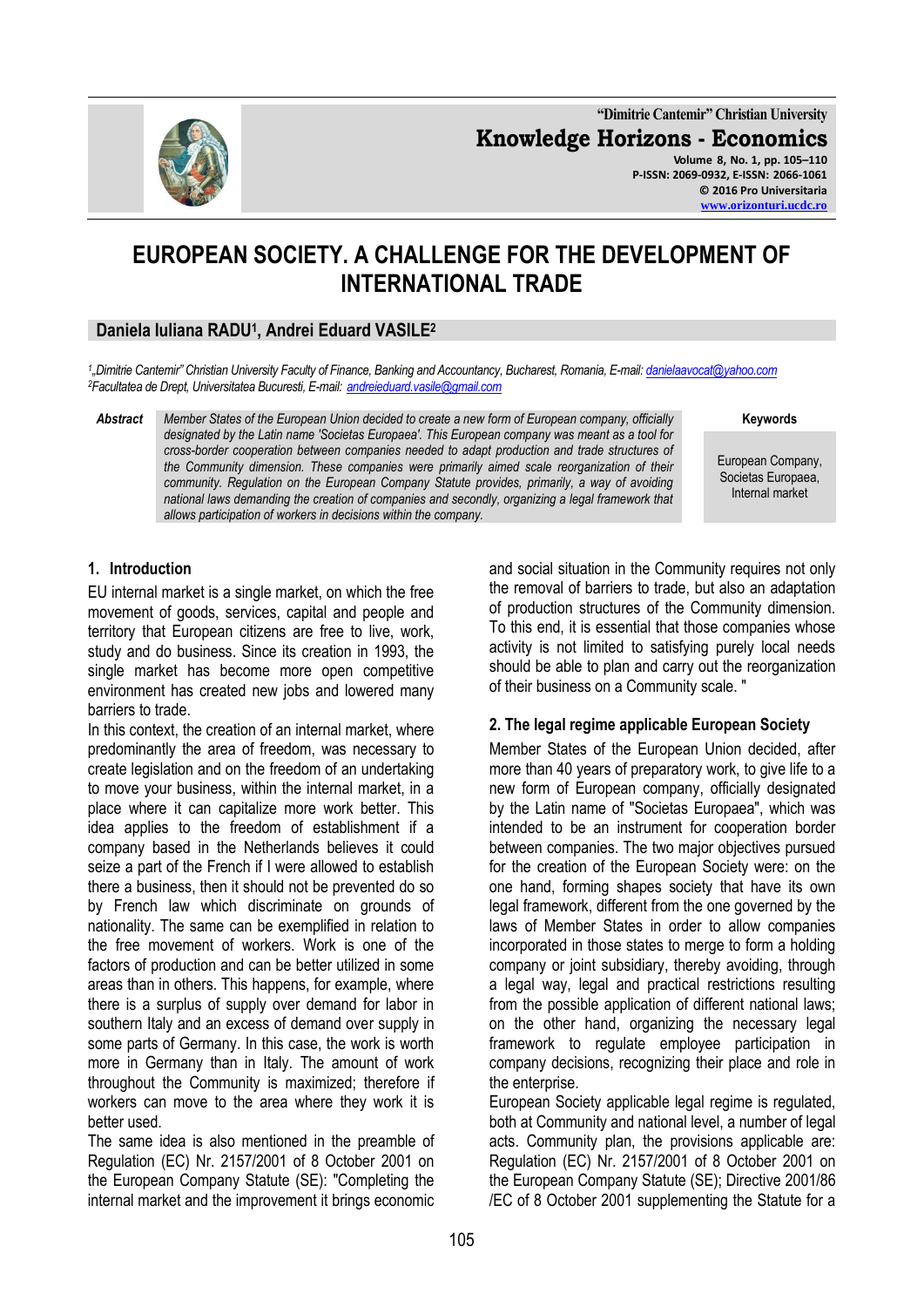

**"Dimitrie Cantemir" Christian University Knowledge Horizons - Economics Volume 8, No. 1, pp. 105–110 P-ISSN: 2069-0932, E-ISSN: 2066-1061 © 2016 Pro Universitaria**

**[www.orizonturi.ucdc.ro](http://www.orizonturi.ucdc.ro/)**

# **EUROPEAN SOCIETY. A CHALLENGE FOR THE DEVELOPMENT OF INTERNATIONAL TRADE**

# **Daniela Iuliana RADU<sup>1</sup> , Andrei Eduard VASILE<sup>2</sup>**

*1 "Dimitrie Cantemir" Christian University Faculty of Finance, Banking and Accountancy, Bucharest, Romania, E-mail[: danielaavocat@yahoo.com](mailto:danielaavocat@yahoo.com) <sup>2</sup>Facultatea de Drept, Universitatea Bucuresti, E-mail: [andreieduard.vasile@gmail.com](mailto:andreieduard.vasile@gmail.com)*

*Abstract Member States of the European Union decided to create a new form of European company, officially designated by the Latin name 'Societas Europaea'. This European company was meant as a tool for cross-border cooperation between companies needed to adapt production and trade structures of the Community dimension. These companies were primarily aimed scale reorganization of their community. Regulation on the European Company Statute provides, primarily, a way of avoiding national laws demanding the creation of companies and secondly, organizing a legal framework that allows participation of workers in decisions within the company.*

**Keywords**

European Company, Societas Europaea, Internal market

#### **1. Introduction**

EU internal market is a single market, on which the free movement of goods, services, capital and people and territory that European citizens are free to live, work, study and do business. Since its creation in 1993, the single market has become more open competitive environment has created new jobs and lowered many barriers to trade.

In this context, the creation of an internal market, where predominantly the area of freedom, was necessary to create legislation and on the freedom of an undertaking to move your business, within the internal market, in a place where it can capitalize more work better. This idea applies to the freedom of establishment if a company based in the Netherlands believes it could seize a part of the French if I were allowed to establish there a business, then it should not be prevented do so by French law which discriminate on grounds of nationality. The same can be exemplified in relation to the free movement of workers. Work is one of the factors of production and can be better utilized in some areas than in others. This happens, for example, where there is a surplus of supply over demand for labor in southern Italy and an excess of demand over supply in some parts of Germany. In this case, the work is worth more in Germany than in Italy. The amount of work throughout the Community is maximized; therefore if workers can move to the area where they work it is better used.

The same idea is also mentioned in the preamble of Regulation (EC) Nr. 2157/2001 of 8 October 2001 on the European Company Statute (SE): "Completing the internal market and the improvement it brings economic

and social situation in the Community requires not only the removal of barriers to trade, but also an adaptation of production structures of the Community dimension. To this end, it is essential that those companies whose activity is not limited to satisfying purely local needs should be able to plan and carry out the reorganization of their business on a Community scale. "

#### **2. The legal regime applicable European Society**

Member States of the European Union decided, after more than 40 years of preparatory work, to give life to a new form of European company, officially designated by the Latin name of "Societas Europaea", which was intended to be an instrument for cooperation border between companies. The two major objectives pursued for the creation of the European Society were: on the one hand, forming shapes society that have its own legal framework, different from the one governed by the laws of Member States in order to allow companies incorporated in those states to merge to form a holding company or joint subsidiary, thereby avoiding, through a legal way, legal and practical restrictions resulting from the possible application of different national laws; on the other hand, organizing the necessary legal framework to regulate employee participation in company decisions, recognizing their place and role in the enterprise.

European Society applicable legal regime is regulated, both at Community and national level, a number of legal acts. Community plan, the provisions applicable are: Regulation (EC) Nr. 2157/2001 of 8 October 2001 on the European Company Statute (SE); Directive 2001/86 /EC of 8 October 2001 supplementing the Statute for a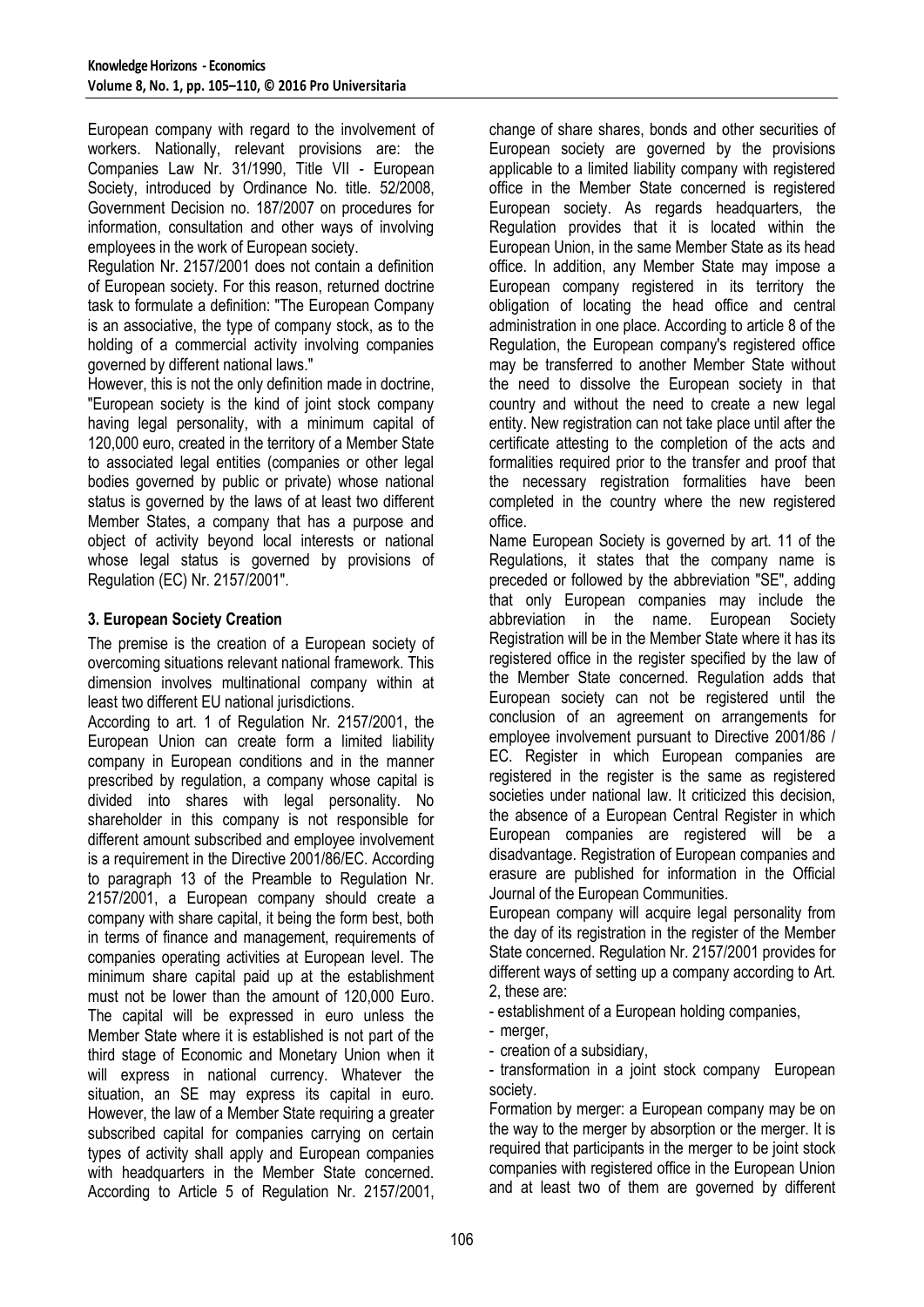European company with regard to the involvement of workers. Nationally, relevant provisions are: the Companies Law Nr. 31/1990, Title VII - European Society, introduced by Ordinance No. title. 52/2008, Government Decision no. 187/2007 on procedures for information, consultation and other ways of involving employees in the work of European society.

Regulation Nr. 2157/2001 does not contain a definition of European society. For this reason, returned doctrine task to formulate a definition: "The European Company is an associative, the type of company stock, as to the holding of a commercial activity involving companies governed by different national laws."

However, this is not the only definition made in doctrine, "European society is the kind of joint stock company having legal personality, with a minimum capital of 120,000 euro, created in the territory of a Member State to associated legal entities (companies or other legal bodies governed by public or private) whose national status is governed by the laws of at least two different Member States, a company that has a purpose and object of activity beyond local interests or national whose legal status is governed by provisions of Regulation (EC) Nr. 2157/2001".

#### **3. European Society Creation**

The premise is the creation of a European society of overcoming situations relevant national framework. This dimension involves multinational company within at least two different EU national jurisdictions.

According to art. 1 of Regulation Nr. 2157/2001, the European Union can create form a limited liability company in European conditions and in the manner prescribed by regulation, a company whose capital is divided into shares with legal personality. No shareholder in this company is not responsible for different amount subscribed and employee involvement is a requirement in the Directive 2001/86/EC. According to paragraph 13 of the Preamble to Regulation Nr. 2157/2001, a European company should create a company with share capital, it being the form best, both in terms of finance and management, requirements of companies operating activities at European level. The minimum share capital paid up at the establishment must not be lower than the amount of 120,000 Euro. The capital will be expressed in euro unless the Member State where it is established is not part of the third stage of Economic and Monetary Union when it will express in national currency. Whatever the situation, an SE may express its capital in euro. However, the law of a Member State requiring a greater subscribed capital for companies carrying on certain types of activity shall apply and European companies with headquarters in the Member State concerned. According to Article 5 of Regulation Nr. 2157/2001, change of share shares, bonds and other securities of European society are governed by the provisions applicable to a limited liability company with registered office in the Member State concerned is registered European society. As regards headquarters, the Regulation provides that it is located within the European Union, in the same Member State as its head office. In addition, any Member State may impose a European company registered in its territory the obligation of locating the head office and central administration in one place. According to article 8 of the Regulation, the European company's registered office may be transferred to another Member State without the need to dissolve the European society in that country and without the need to create a new legal entity. New registration can not take place until after the certificate attesting to the completion of the acts and formalities required prior to the transfer and proof that the necessary registration formalities have been completed in the country where the new registered office.

Name European Society is governed by art. 11 of the Regulations, it states that the company name is preceded or followed by the abbreviation "SE", adding that only European companies may include the abbreviation in the name. European Society Registration will be in the Member State where it has its registered office in the register specified by the law of the Member State concerned. Regulation adds that European society can not be registered until the conclusion of an agreement on arrangements for employee involvement pursuant to Directive 2001/86 / EC. Register in which European companies are registered in the register is the same as registered societies under national law. It criticized this decision, the absence of a European Central Register in which European companies are registered will be a disadvantage. Registration of European companies and erasure are published for information in the Official Journal of the European Communities.

European company will acquire legal personality from the day of its registration in the register of the Member State concerned. Regulation Nr. 2157/2001 provides for different ways of setting up a company according to Art. 2, these are:

- establishment of a European holding companies,

- merger,
- creation of a subsidiary,

- transformation in a joint stock company European society.

Formation by merger: a European company may be on the way to the merger by absorption or the merger. It is required that participants in the merger to be joint stock companies with registered office in the European Union and at least two of them are governed by different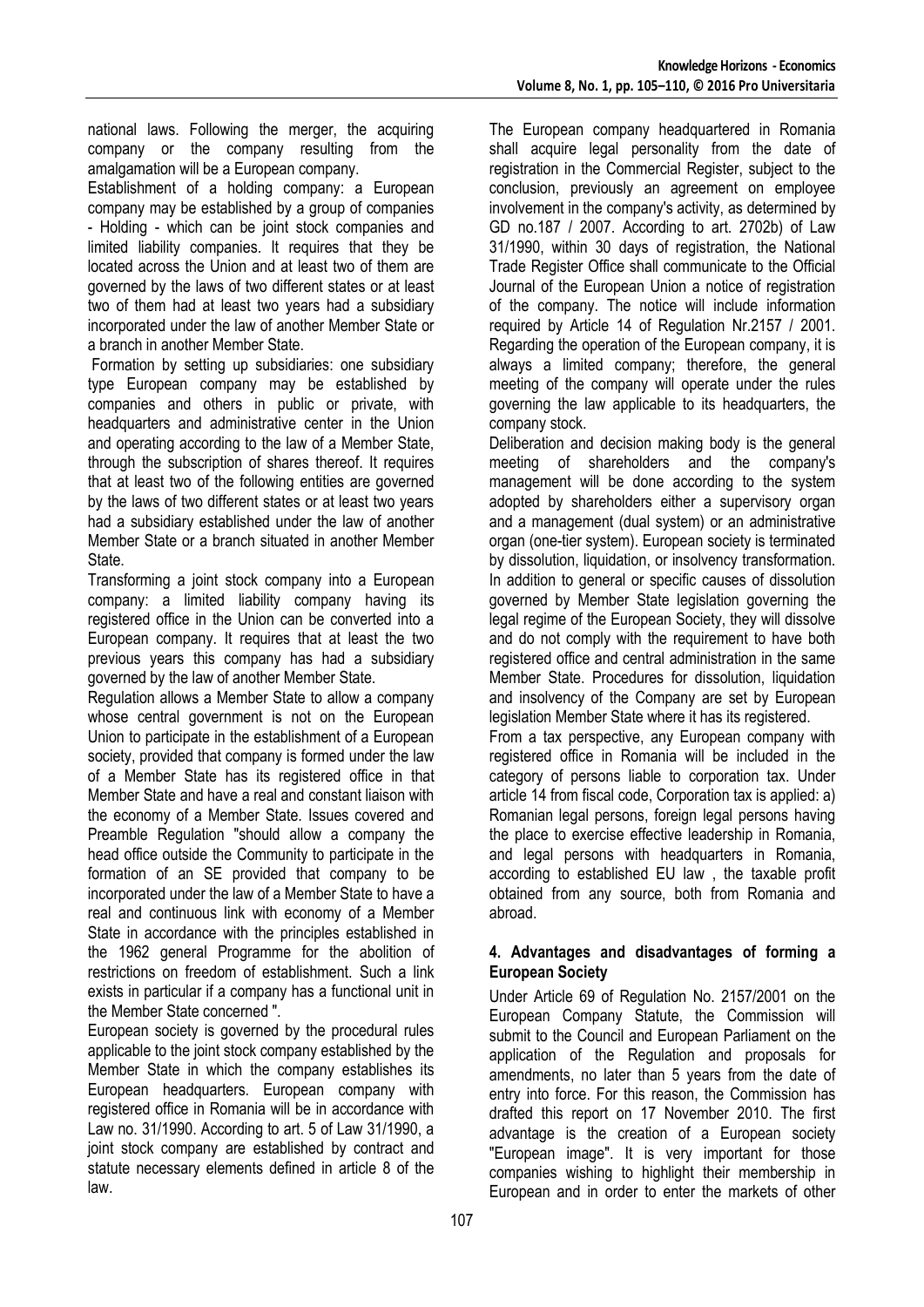national laws. Following the merger, the acquiring company or the company resulting from the amalgamation will be a European company.

Establishment of a holding company: a European company may be established by a group of companies - Holding - which can be joint stock companies and limited liability companies. It requires that they be located across the Union and at least two of them are governed by the laws of two different states or at least two of them had at least two years had a subsidiary incorporated under the law of another Member State or a branch in another Member State.

Formation by setting up subsidiaries: one subsidiary type European company may be established by companies and others in public or private, with headquarters and administrative center in the Union and operating according to the law of a Member State, through the subscription of shares thereof. It requires that at least two of the following entities are governed by the laws of two different states or at least two years had a subsidiary established under the law of another Member State or a branch situated in another Member State.

Transforming a joint stock company into a European company: a limited liability company having its registered office in the Union can be converted into a European company. It requires that at least the two previous years this company has had a subsidiary governed by the law of another Member State.

Regulation allows a Member State to allow a company whose central government is not on the European Union to participate in the establishment of a European society, provided that company is formed under the law of a Member State has its registered office in that Member State and have a real and constant liaison with the economy of a Member State. Issues covered and Preamble Regulation "should allow a company the head office outside the Community to participate in the formation of an SE provided that company to be incorporated under the law of a Member State to have a real and continuous link with economy of a Member State in accordance with the principles established in the 1962 general Programme for the abolition of restrictions on freedom of establishment. Such a link exists in particular if a company has a functional unit in the Member State concerned ".

European society is governed by the procedural rules applicable to the joint stock company established by the Member State in which the company establishes its European headquarters. European company with registered office in Romania will be in accordance with Law no. 31/1990. According to art. 5 of Law 31/1990, a joint stock company are established by contract and statute necessary elements defined in article 8 of the law.

The European company headquartered in Romania shall acquire legal personality from the date of registration in the Commercial Register, subject to the conclusion, previously an agreement on employee involvement in the company's activity, as determined by GD no.187 / 2007. According to art. 2702b) of Law 31/1990, within 30 days of registration, the National Trade Register Office shall communicate to the Official Journal of the European Union a notice of registration of the company. The notice will include information required by Article 14 of Regulation Nr.2157 / 2001. Regarding the operation of the European company, it is always a limited company; therefore, the general meeting of the company will operate under the rules governing the law applicable to its headquarters, the company stock.

Deliberation and decision making body is the general meeting of shareholders and the company's management will be done according to the system adopted by shareholders either a supervisory organ and a management (dual system) or an administrative organ (one-tier system). European society is terminated by dissolution, liquidation, or insolvency transformation. In addition to general or specific causes of dissolution governed by Member State legislation governing the legal regime of the European Society, they will dissolve and do not comply with the requirement to have both registered office and central administration in the same Member State. Procedures for dissolution, liquidation and insolvency of the Company are set by European legislation Member State where it has its registered.

From a tax perspective, any European company with registered office in Romania will be included in the category of persons liable to corporation tax. Under article 14 from fiscal code, Corporation tax is applied: a) Romanian legal persons, foreign legal persons having the place to exercise effective leadership in Romania, and legal persons with headquarters in Romania, according to established EU law , the taxable profit obtained from any source, both from Romania and abroad.

#### **4. Advantages and disadvantages of forming a European Society**

Under Article 69 of Regulation No. 2157/2001 on the European Company Statute, the Commission will submit to the Council and European Parliament on the application of the Regulation and proposals for amendments, no later than 5 years from the date of entry into force. For this reason, the Commission has drafted this report on 17 November 2010. The first advantage is the creation of a European society "European image". It is very important for those companies wishing to highlight their membership in European and in order to enter the markets of other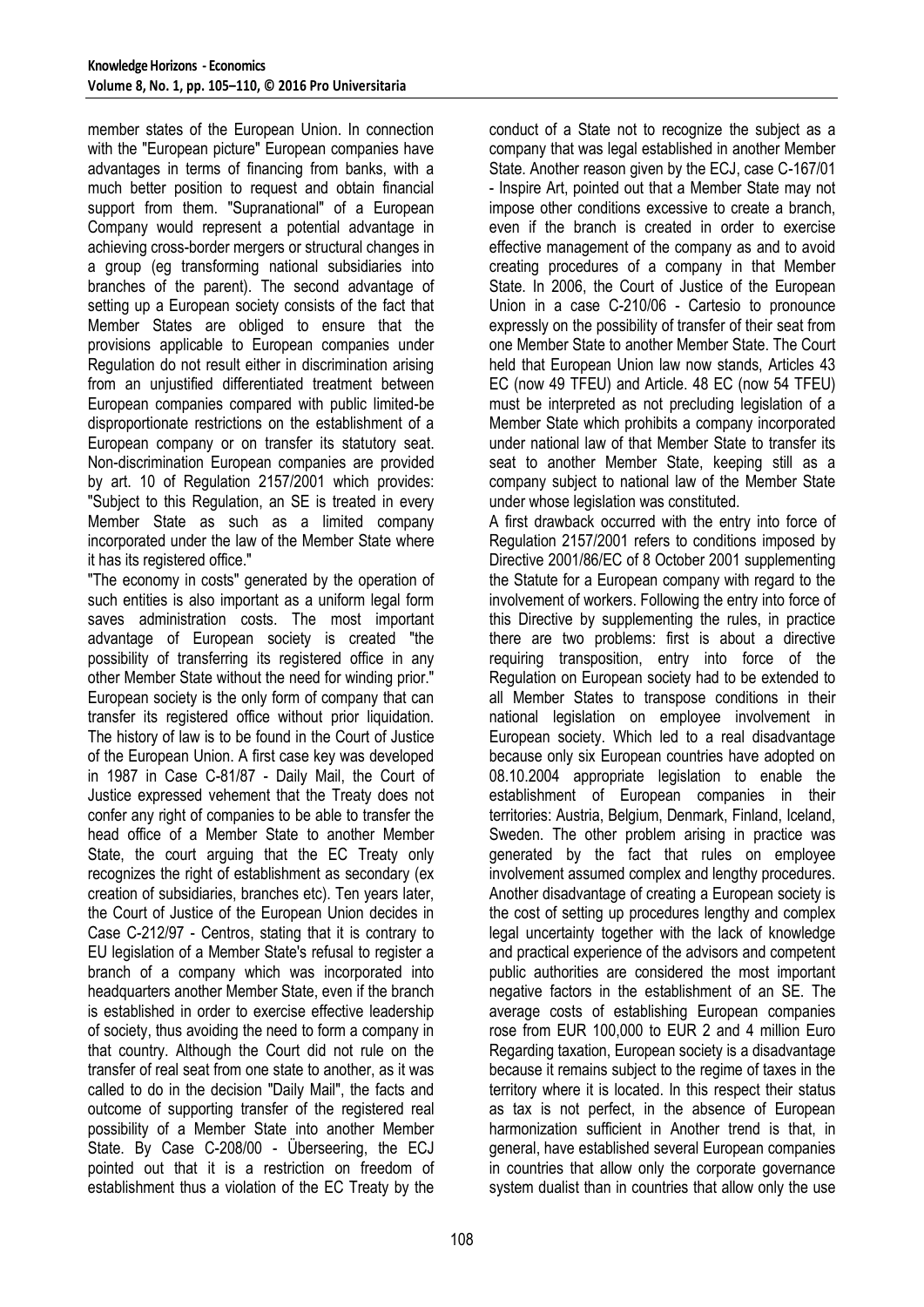member states of the European Union. In connection with the "European picture" European companies have advantages in terms of financing from banks, with a much better position to request and obtain financial support from them. "Supranational" of a European Company would represent a potential advantage in achieving cross-border mergers or structural changes in a group (eg transforming national subsidiaries into branches of the parent). The second advantage of setting up a European society consists of the fact that Member States are obliged to ensure that the provisions applicable to European companies under Regulation do not result either in discrimination arising from an unjustified differentiated treatment between European companies compared with public limited-be disproportionate restrictions on the establishment of a European company or on transfer its statutory seat. Non-discrimination European companies are provided by art. 10 of Regulation 2157/2001 which provides: "Subject to this Regulation, an SE is treated in every Member State as such as a limited company incorporated under the law of the Member State where it has its registered office."

"The economy in costs" generated by the operation of such entities is also important as a uniform legal form saves administration costs. The most important advantage of European society is created "the possibility of transferring its registered office in any other Member State without the need for winding prior." European society is the only form of company that can transfer its registered office without prior liquidation. The history of law is to be found in the Court of Justice of the European Union. A first case key was developed in 1987 in Case C-81/87 - Daily Mail, the Court of Justice expressed vehement that the Treaty does not confer any right of companies to be able to transfer the head office of a Member State to another Member State, the court arguing that the EC Treaty only recognizes the right of establishment as secondary (ex creation of subsidiaries, branches etc). Ten years later, the Court of Justice of the European Union decides in Case C-212/97 - Centros, stating that it is contrary to EU legislation of a Member State's refusal to register a branch of a company which was incorporated into headquarters another Member State, even if the branch is established in order to exercise effective leadership of society, thus avoiding the need to form a company in that country. Although the Court did not rule on the transfer of real seat from one state to another, as it was called to do in the decision "Daily Mail", the facts and outcome of supporting transfer of the registered real possibility of a Member State into another Member State. By Case C-208/00 - Überseering, the ECJ pointed out that it is a restriction on freedom of establishment thus a violation of the EC Treaty by the conduct of a State not to recognize the subject as a company that was legal established in another Member State. Another reason given by the ECJ, case C-167/01 - Inspire Art, pointed out that a Member State may not impose other conditions excessive to create a branch, even if the branch is created in order to exercise effective management of the company as and to avoid creating procedures of a company in that Member State. In 2006, the Court of Justice of the European Union in a case C-210/06 - Cartesio to pronounce expressly on the possibility of transfer of their seat from one Member State to another Member State. The Court held that European Union law now stands, Articles 43 EC (now 49 TFEU) and Article. 48 EC (now 54 TFEU) must be interpreted as not precluding legislation of a Member State which prohibits a company incorporated under national law of that Member State to transfer its seat to another Member State, keeping still as a company subject to national law of the Member State under whose legislation was constituted.

A first drawback occurred with the entry into force of Regulation 2157/2001 refers to conditions imposed by Directive 2001/86/EC of 8 October 2001 supplementing the Statute for a European company with regard to the involvement of workers. Following the entry into force of this Directive by supplementing the rules, in practice there are two problems: first is about a directive requiring transposition, entry into force of the Regulation on European society had to be extended to all Member States to transpose conditions in their national legislation on employee involvement in European society. Which led to a real disadvantage because only six European countries have adopted on 08.10.2004 appropriate legislation to enable the establishment of European companies in their territories: Austria, Belgium, Denmark, Finland, Iceland, Sweden. The other problem arising in practice was generated by the fact that rules on employee involvement assumed complex and lengthy procedures. Another disadvantage of creating a European society is the cost of setting up procedures lengthy and complex legal uncertainty together with the lack of knowledge and practical experience of the advisors and competent public authorities are considered the most important negative factors in the establishment of an SE. The average costs of establishing European companies rose from EUR 100,000 to EUR 2 and 4 million Euro Regarding taxation, European society is a disadvantage because it remains subject to the regime of taxes in the territory where it is located. In this respect their status as tax is not perfect, in the absence of European harmonization sufficient in Another trend is that, in general, have established several European companies in countries that allow only the corporate governance system dualist than in countries that allow only the use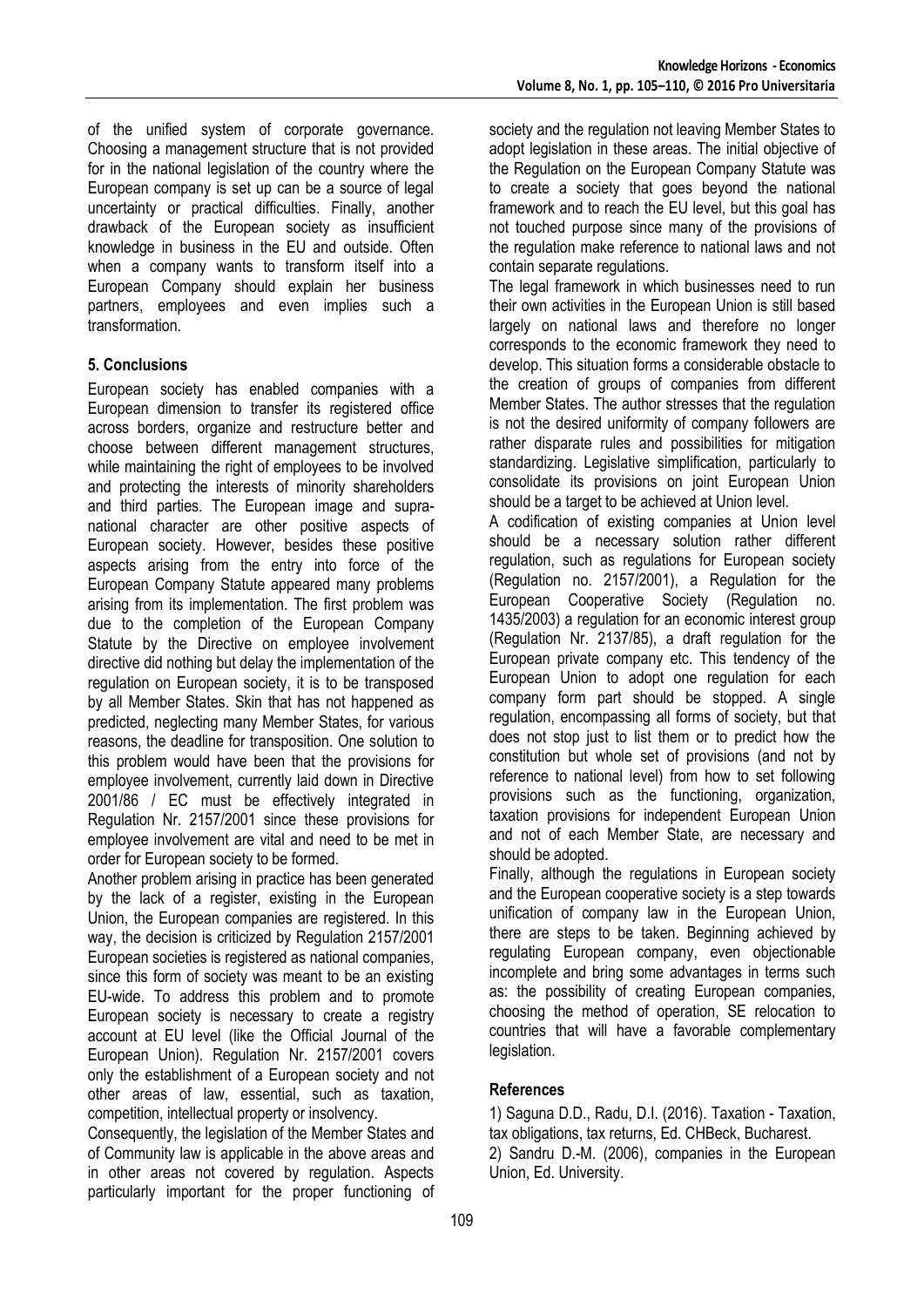of the unified system of corporate governance. Choosing a management structure that is not provided for in the national legislation of the country where the European company is set up can be a source of legal uncertainty or practical difficulties. Finally, another drawback of the European society as insufficient knowledge in business in the EU and outside. Often when a company wants to transform itself into a European Company should explain her business partners, employees and even implies such a transformation.

## **5. Conclusions**

European society has enabled companies with a European dimension to transfer its registered office across borders, organize and restructure better and choose between different management structures, while maintaining the right of employees to be involved and protecting the interests of minority shareholders and third parties. The European image and supranational character are other positive aspects of European society. However, besides these positive aspects arising from the entry into force of the European Company Statute appeared many problems arising from its implementation. The first problem was due to the completion of the European Company Statute by the Directive on employee involvement directive did nothing but delay the implementation of the regulation on European society, it is to be transposed by all Member States. Skin that has not happened as predicted, neglecting many Member States, for various reasons, the deadline for transposition. One solution to this problem would have been that the provisions for employee involvement, currently laid down in Directive 2001/86 / EC must be effectively integrated in Regulation Nr. 2157/2001 since these provisions for employee involvement are vital and need to be met in order for European society to be formed.

Another problem arising in practice has been generated by the lack of a register, existing in the European Union, the European companies are registered. In this way, the decision is criticized by Regulation 2157/2001 European societies is registered as national companies, since this form of society was meant to be an existing EU-wide. To address this problem and to promote European society is necessary to create a registry account at EU level (like the Official Journal of the European Union). Regulation Nr. 2157/2001 covers only the establishment of a European society and not other areas of law, essential, such as taxation, competition, intellectual property or insolvency.

Consequently, the legislation of the Member States and of Community law is applicable in the above areas and in other areas not covered by regulation. Aspects particularly important for the proper functioning of society and the regulation not leaving Member States to adopt legislation in these areas. The initial objective of the Regulation on the European Company Statute was to create a society that goes beyond the national framework and to reach the EU level, but this goal has not touched purpose since many of the provisions of the regulation make reference to national laws and not contain separate regulations.

The legal framework in which businesses need to run their own activities in the European Union is still based largely on national laws and therefore no longer corresponds to the economic framework they need to develop. This situation forms a considerable obstacle to the creation of groups of companies from different Member States. The author stresses that the regulation is not the desired uniformity of company followers are rather disparate rules and possibilities for mitigation standardizing. Legislative simplification, particularly to consolidate its provisions on joint European Union should be a target to be achieved at Union level.

A codification of existing companies at Union level should be a necessary solution rather different regulation, such as regulations for European society (Regulation no. 2157/2001), a Regulation for the European Cooperative Society (Regulation no. 1435/2003) a regulation for an economic interest group (Regulation Nr. 2137/85), a draft regulation for the European private company etc. This tendency of the European Union to adopt one regulation for each company form part should be stopped. A single regulation, encompassing all forms of society, but that does not stop just to list them or to predict how the constitution but whole set of provisions (and not by reference to national level) from how to set following provisions such as the functioning, organization, taxation provisions for independent European Union and not of each Member State, are necessary and should be adopted.

Finally, although the regulations in European society and the European cooperative society is a step towards unification of company law in the European Union, there are steps to be taken. Beginning achieved by regulating European company, even objectionable incomplete and bring some advantages in terms such as: the possibility of creating European companies, choosing the method of operation, SE relocation to countries that will have a favorable complementary legislation.

## **References**

1) Saguna D.D., Radu, D.I. (2016). Taxation - Taxation, tax obligations, tax returns, Ed. CHBeck, Bucharest. 2) Sandru D.-M. (2006), companies in the European Union, Ed. University.